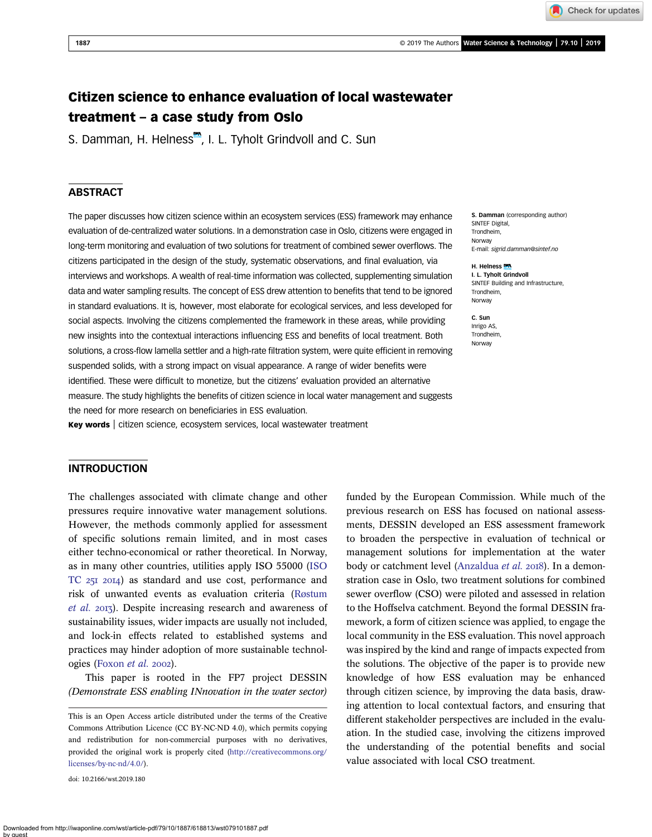# Citizen science to enhance evaluation of local wastewater treatment – a case study from Oslo

S. Damman, H. Helness<sup>.,</sup> I. L. Tyholt Grindvoll and C. Sun

# **ABSTRACT**

The paper discusses how citizen science within an ecosystem services (ESS) framework may enhance evaluation of de-centralized water solutions. In a demonstration case in Oslo, citizens were engaged in long-term monitoring and evaluation of two solutions for treatment of combined sewer overflows. The citizens participated in the design of the study, systematic observations, and final evaluation, via interviews and workshops. A wealth of real-time information was collected, supplementing simulation data and water sampling results. The concept of ESS drew attention to benefits that tend to be ignored in standard evaluations. It is, however, most elaborate for ecological services, and less developed for social aspects. Involving the citizens complemented the framework in these areas, while providing new insights into the contextual interactions influencing ESS and benefits of local treatment. Both solutions, a cross-flow lamella settler and a high-rate filtration system, were quite efficient in removing suspended solids, with a strong impact on visual appearance. A range of wider benefits were identified. These were difficult to monetize, but the citizens' evaluation provided an alternative measure. The study highlights the benefits of citizen science in local water management and suggests the need for more research on beneficiaries in ESS evaluation.

Key words | citizen science, ecosystem services, local wastewater treatment

S. Damman (corresponding author) SINTEF Digital, Trondheim, Norway E-mail: [sigrid.damman@sintef.no](mailto:sigrid.damman@sintef.no)

#### H. Helness MA

I. L. Tyholt Grindvoll SINTEF Building and Infrastructure, Trondheim, Norway

C. Sun Inrigo AS, Trondheim, Norway

### INTRODUCTION

The challenges associated with climate change and other pressures require innovative water management solutions. However, the methods commonly applied for assessment of specific solutions remain limited, and in most cases either techno-economical or rather theoretical. In Norway, as in many other countries, utilities apply ISO 55000 [\(ISO](#page-9-0) TC $25I$   $20I4$ ) as standard and use cost, performance and risk of unwanted events as evaluation criteria ([Røstum](#page-9-0) [et al.](#page-9-0) 2013). Despite increasing research and awareness of sustainability issues, wider impacts are usually not included, and lock-in effects related to established systems and practices may hinder adoption of more sustainable technol-ogies ([Foxon](#page-8-0) *et al.* 2002).

This paper is rooted in the FP7 project DESSIN (Demonstrate ESS enabling INnovation in the water sector)

doi: 10.2166/wst.2019.180

funded by the European Commission. While much of the previous research on ESS has focused on national assessments, DESSIN developed an ESS assessment framework to broaden the perspective in evaluation of technical or management solutions for implementation at the water body or catchment level ([Anzaldua](#page-8-0) et al. 2018). In a demonstration case in Oslo, two treatment solutions for combined sewer overflow (CSO) were piloted and assessed in relation to the Hoffselva catchment. Beyond the formal DESSIN framework, a form of citizen science was applied, to engage the local community in the ESS evaluation. This novel approach was inspired by the kind and range of impacts expected from the solutions. The objective of the paper is to provide new knowledge of how ESS evaluation may be enhanced through citizen science, by improving the data basis, drawing attention to local contextual factors, and ensuring that different stakeholder perspectives are included in the evaluation. In the studied case, involving the citizens improved the understanding of the potential benefits and social value associated with local CSO treatment.

This is an Open Access article distributed under the terms of the Creative Commons Attribution Licence (CC BY-NC-ND 4.0), which permits copying and redistribution for non-commercial purposes with no derivatives, provided the original work is properly cited ([http://creativecommons.org/](http://creativecommons.org/licenses/by-nc-nd/4.0/) [licenses/by-nc-nd/4.0/](http://creativecommons.org/licenses/by-nc-nd/4.0/)).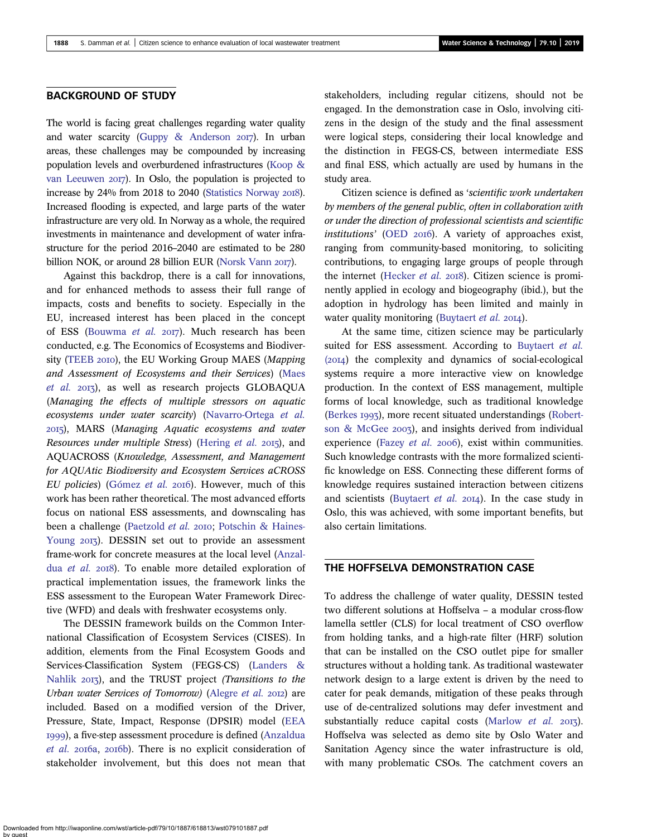### BACKGROUND OF STUDY

The world is facing great challenges regarding water quality and water scarcity [\(Guppy & Anderson](#page-8-0)  $2017$ ). In urban areas, these challenges may be compounded by increasing population levels and overburdened infrastructures [\(Koop &](#page-9-0) [van Leeuwen](#page-9-0)  $20I7$ ). In Oslo, the population is projected to increase by  $24\%$  from  $2018$  to  $2040$  [\(Statistics Norway](#page-9-0)  $2018$ ). Increased flooding is expected, and large parts of the water infrastructure are very old. In Norway as a whole, the required investments in maintenance and development of water infrastructure for the period 2016–2040 are estimated to be 280 billion NOK, or around 28 billion EUR [\(Norsk Vann](#page-9-0) 2017).

Against this backdrop, there is a call for innovations, and for enhanced methods to assess their full range of impacts, costs and benefits to society. Especially in the EU, increased interest has been placed in the concept of ESS [\(Bouwma](#page-8-0) et al. 2017). Much research has been conducted, e.g. The Economics of Ecosystems and Biodiver-sity [\(TEEB](#page-9-0) 2010), the EU Working Group MAES (Mapping and Assessment of Ecosystems and their Services) ([Maes](#page-9-0) [et al.](#page-9-0) 2013), as well as research projects GLOBAQUA (Managing the effects of multiple stressors on aquatic ecosystems under water scarcity) ([Navarro-Ortega](#page-9-0) et al. ), MARS (Managing Aquatic ecosystems and water Resources under multiple Stress) ([Hering](#page-9-0) et al. 2015), and AQUACROSS (Knowledge, Assessment, and Management for AQUAtic Biodiversity and Ecosystem Services aCROSS EU policies) ([Gómez](#page-8-0) et al. 2016). However, much of this work has been rather theoretical. The most advanced efforts focus on national ESS assessments, and downscaling has been a challenge [\(Paetzold](#page-9-0) et al. 2010; [Potschin & Haines-](#page-9-0)[Young](#page-9-0) 2013). DESSIN set out to provide an assessment frame-work for concrete measures at the local level [\(Anzal](#page-8-0)dua [et al.](#page-8-0) 2018). To enable more detailed exploration of practical implementation issues, the framework links the ESS assessment to the European Water Framework Directive (WFD) and deals with freshwater ecosystems only.

The DESSIN framework builds on the Common International Classification of Ecosystem Services (CISES). In addition, elements from the Final Ecosystem Goods and Services-Classification System (FEGS-CS) ([Landers &](#page-9-0) [Nahlik](#page-9-0) 2013), and the TRUST project (Transitions to the Urban water Services of Tomorrow) [\(Alegre](#page-8-0) et al. 2012) are included. Based on a modified version of the Driver, Pressure, State, Impact, Response (DPSIR) model [\(EEA](#page-8-0) ), a five-step assessment procedure is defined ([Anzaldua](#page-8-0) [et al.](#page-8-0) 2016a, 2016b). There is no explicit consideration of stakeholder involvement, but this does not mean that stakeholders, including regular citizens, should not be engaged. In the demonstration case in Oslo, involving citizens in the design of the study and the final assessment were logical steps, considering their local knowledge and the distinction in FEGS-CS, between intermediate ESS and final ESS, which actually are used by humans in the study area.

Citizen science is defined as 'scientific work undertaken by members of the general public, often in collaboration with or under the direction of professional scientists and scientific  $institutions'$  [\(OED](#page-9-0)  $20I6$ ). A variety of approaches exist, ranging from community-based monitoring, to soliciting contributions, to engaging large groups of people through the internet ([Hecker](#page-9-0) et al. 2018). Citizen science is prominently applied in ecology and biogeography (ibid.), but the adoption in hydrology has been limited and mainly in water quality monitoring ([Buytaert](#page-8-0) et al. 2014).

At the same time, citizen science may be particularly suited for ESS assessment. According to [Buytaert](#page-8-0) et al.  $(20I4)$  the complexity and dynamics of social-ecological systems require a more interactive view on knowledge production. In the context of ESS management, multiple forms of local knowledge, such as traditional knowledge ([Berkes](#page-8-0) 1993), more recent situated understandings ([Robert](#page-9-0)[son & McGee](#page-9-0)  $2003$ ), and insights derived from individual experience ([Fazey](#page-8-0) et al.  $2006$ ), exist within communities. Such knowledge contrasts with the more formalized scientific knowledge on ESS. Connecting these different forms of knowledge requires sustained interaction between citizens and scientists [\(Buytaert](#page-8-0) et al.  $20I4$ ). In the case study in Oslo, this was achieved, with some important benefits, but also certain limitations.

# THE HOFFSELVA DEMONSTRATION CASE

To address the challenge of water quality, DESSIN tested two different solutions at Hoffselva – a modular cross-flow lamella settler (CLS) for local treatment of CSO overflow from holding tanks, and a high-rate filter (HRF) solution that can be installed on the CSO outlet pipe for smaller structures without a holding tank. As traditional wastewater network design to a large extent is driven by the need to cater for peak demands, mitigation of these peaks through use of de-centralized solutions may defer investment and substantially reduce capital costs [\(Marlow](#page-9-0) *et al.* 2013). Hoffselva was selected as demo site by Oslo Water and Sanitation Agency since the water infrastructure is old, with many problematic CSOs. The catchment covers an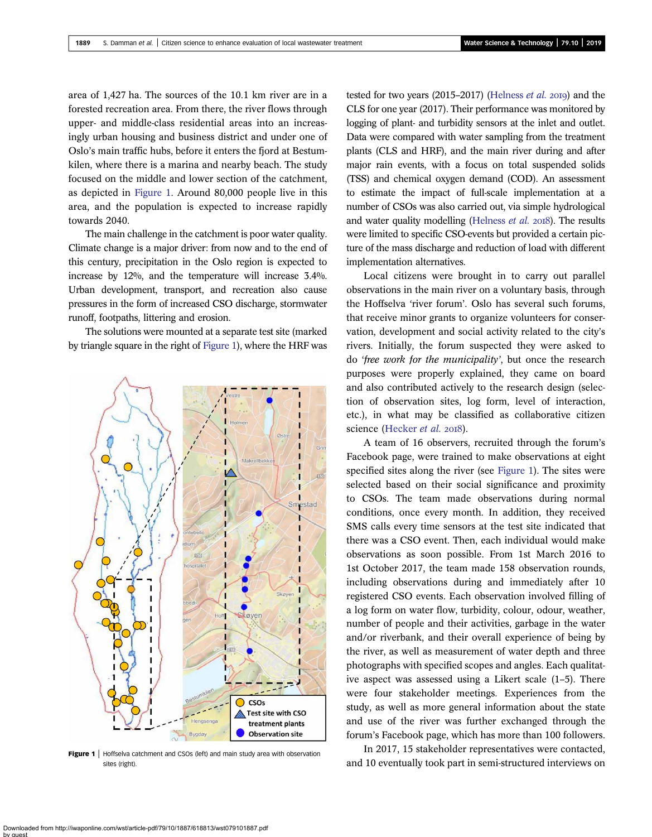<span id="page-2-0"></span>area of 1,427 ha. The sources of the 10.1 km river are in a forested recreation area. From there, the river flows through upper- and middle-class residential areas into an increasingly urban housing and business district and under one of Oslo's main traffic hubs, before it enters the fjord at Bestumkilen, where there is a marina and nearby beach. The study focused on the middle and lower section of the catchment, as depicted in Figure 1. Around 80,000 people live in this area, and the population is expected to increase rapidly towards 2040.

The main challenge in the catchment is poor water quality. Climate change is a major driver: from now and to the end of this century, precipitation in the Oslo region is expected to increase by 12%, and the temperature will increase 3.4%. Urban development, transport, and recreation also cause pressures in the form of increased CSO discharge, stormwater runoff, footpaths, littering and erosion.

The solutions were mounted at a separate test site (marked by triangle square in the right of Figure 1), where the HRF was



Figure 1 | Hoffselva catchment and CSOs (left) and main study area with observation sites (right)

tested for two years (2015–2017) [\(Helness](#page-9-0)  $et$  al. 2019) and the CLS for one year (2017). Their performance was monitored by logging of plant- and turbidity sensors at the inlet and outlet. Data were compared with water sampling from the treatment plants (CLS and HRF), and the main river during and after major rain events, with a focus on total suspended solids (TSS) and chemical oxygen demand (COD). An assessment to estimate the impact of full-scale implementation at a number of CSOs was also carried out, via simple hydrological and water quality modelling [\(Helness](#page-9-0)  $et$   $al.$   $2018$ ). The results were limited to specific CSO-events but provided a certain picture of the mass discharge and reduction of load with different implementation alternatives.

Local citizens were brought in to carry out parallel observations in the main river on a voluntary basis, through the Hoffselva 'river forum'. Oslo has several such forums, that receive minor grants to organize volunteers for conservation, development and social activity related to the city's rivers. Initially, the forum suspected they were asked to do 'free work for the municipality', but once the research purposes were properly explained, they came on board and also contributed actively to the research design (selection of observation sites, log form, level of interaction, etc.), in what may be classified as collaborative citizen science ([Hecker](#page-9-0) et al. 2018).

A team of 16 observers, recruited through the forum's Facebook page, were trained to make observations at eight specified sites along the river (see Figure 1). The sites were selected based on their social significance and proximity to CSOs. The team made observations during normal conditions, once every month. In addition, they received SMS calls every time sensors at the test site indicated that there was a CSO event. Then, each individual would make observations as soon possible. From 1st March 2016 to 1st October 2017, the team made 158 observation rounds, including observations during and immediately after 10 registered CSO events. Each observation involved filling of a log form on water flow, turbidity, colour, odour, weather, number of people and their activities, garbage in the water and/or riverbank, and their overall experience of being by the river, as well as measurement of water depth and three photographs with specified scopes and angles. Each qualitative aspect was assessed using a Likert scale (1–5). There were four stakeholder meetings. Experiences from the study, as well as more general information about the state and use of the river was further exchanged through the forum's Facebook page, which has more than 100 followers.

In 2017, 15 stakeholder representatives were contacted, and 10 eventually took part in semi-structured interviews on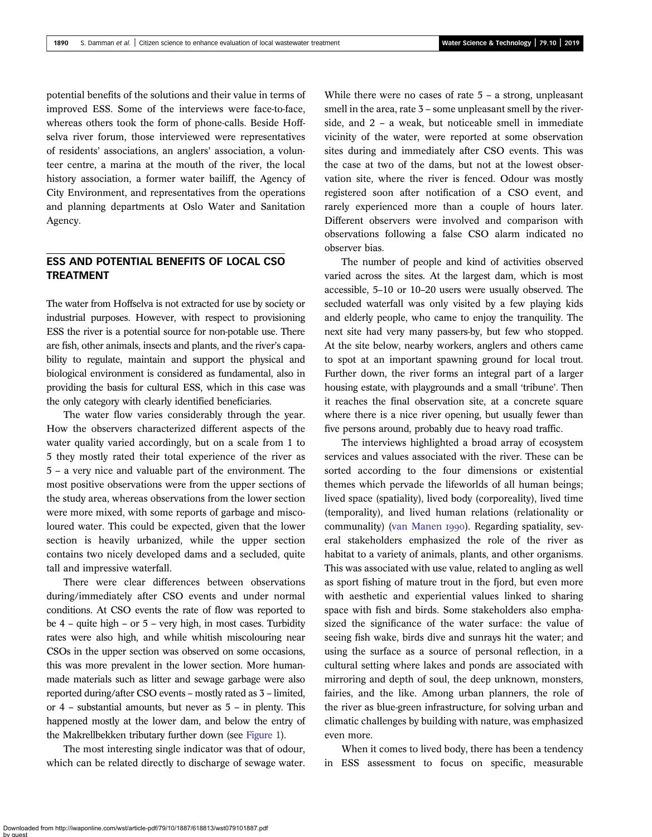potential benefits of the solutions and their value in terms of improved ESS. Some of the interviews were face-to-face, whereas others took the form of phone-calls. Beside Hoffselva river forum, those interviewed were representatives of residents' associations, an anglers' association, a volunteer centre, a marina at the mouth of the river, the local history association, a former water bailiff, the Agency of City Environment, and representatives from the operations and planning departments at Oslo Water and Sanitation Agency.

# ESS AND POTENTIAL BENEFITS OF LOCAL CSO TREATMENT

The water from Hoffselva is not extracted for use by society or industrial purposes. However, with respect to provisioning ESS the river is a potential source for non-potable use. There are fish, other animals, insects and plants, and the river's capability to regulate, maintain and support the physical and biological environment is considered as fundamental, also in providing the basis for cultural ESS, which in this case was the only category with clearly identified beneficiaries.

The water flow varies considerably through the year. How the observers characterized different aspects of the water quality varied accordingly, but on a scale from 1 to 5 they mostly rated their total experience of the river as 5 – a very nice and valuable part of the environment. The most positive observations were from the upper sections of the study area, whereas observations from the lower section were more mixed, with some reports of garbage and miscoloured water. This could be expected, given that the lower section is heavily urbanized, while the upper section contains two nicely developed dams and a secluded, quite tall and impressive waterfall.

There were clear differences between observations during/immediately after CSO events and under normal conditions. At CSO events the rate of flow was reported to be 4 – quite high – or 5 – very high, in most cases. Turbidity rates were also high, and while whitish miscolouring near CSOs in the upper section was observed on some occasions, this was more prevalent in the lower section. More humanmade materials such as litter and sewage garbage were also reported during/after CSO events – mostly rated as 3 – limited, or 4 – substantial amounts, but never as 5 – in plenty. This happened mostly at the lower dam, and below the entry of the Makrellbekken tributary further down (see [Figure 1\)](#page-2-0).

The most interesting single indicator was that of odour, which can be related directly to discharge of sewage water. While there were no cases of rate  $5 - a$  strong, unpleasant smell in the area, rate 3 – some unpleasant smell by the riverside, and 2 – a weak, but noticeable smell in immediate vicinity of the water, were reported at some observation sites during and immediately after CSO events. This was the case at two of the dams, but not at the lowest observation site, where the river is fenced. Odour was mostly registered soon after notification of a CSO event, and rarely experienced more than a couple of hours later. Different observers were involved and comparison with observations following a false CSO alarm indicated no observer bias.

The number of people and kind of activities observed varied across the sites. At the largest dam, which is most accessible, 5–10 or 10–20 users were usually observed. The secluded waterfall was only visited by a few playing kids and elderly people, who came to enjoy the tranquility. The next site had very many passers-by, but few who stopped. At the site below, nearby workers, anglers and others came to spot at an important spawning ground for local trout. Further down, the river forms an integral part of a larger housing estate, with playgrounds and a small 'tribune'. Then it reaches the final observation site, at a concrete square where there is a nice river opening, but usually fewer than five persons around, probably due to heavy road traffic.

The interviews highlighted a broad array of ecosystem services and values associated with the river. These can be sorted according to the four dimensions or existential themes which pervade the lifeworlds of all human beings; lived space (spatiality), lived body (corporeality), lived time (temporality), and lived human relations (relationality or communality) [\(van Manen](#page-9-0) 1990). Regarding spatiality, several stakeholders emphasized the role of the river as habitat to a variety of animals, plants, and other organisms. This was associated with use value, related to angling as well as sport fishing of mature trout in the fjord, but even more with aesthetic and experiential values linked to sharing space with fish and birds. Some stakeholders also emphasized the significance of the water surface: the value of seeing fish wake, birds dive and sunrays hit the water; and using the surface as a source of personal reflection, in a cultural setting where lakes and ponds are associated with mirroring and depth of soul, the deep unknown, monsters, fairies, and the like. Among urban planners, the role of the river as blue-green infrastructure, for solving urban and climatic challenges by building with nature, was emphasized even more.

When it comes to lived body, there has been a tendency in ESS assessment to focus on specific, measurable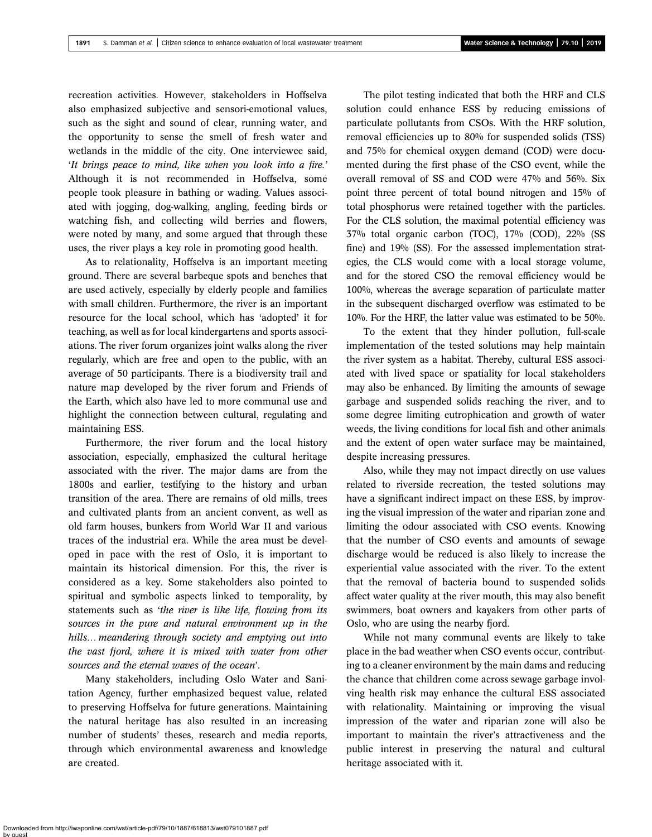recreation activities. However, stakeholders in Hoffselva also emphasized subjective and sensori-emotional values, such as the sight and sound of clear, running water, and the opportunity to sense the smell of fresh water and wetlands in the middle of the city. One interviewee said, 'It brings peace to mind, like when you look into a fire.' Although it is not recommended in Hoffselva, some people took pleasure in bathing or wading. Values associated with jogging, dog-walking, angling, feeding birds or watching fish, and collecting wild berries and flowers, were noted by many, and some argued that through these uses, the river plays a key role in promoting good health.

As to relationality, Hoffselva is an important meeting ground. There are several barbeque spots and benches that are used actively, especially by elderly people and families with small children. Furthermore, the river is an important resource for the local school, which has 'adopted' it for teaching, as well as for local kindergartens and sports associations. The river forum organizes joint walks along the river regularly, which are free and open to the public, with an average of 50 participants. There is a biodiversity trail and nature map developed by the river forum and Friends of the Earth, which also have led to more communal use and highlight the connection between cultural, regulating and maintaining ESS.

Furthermore, the river forum and the local history association, especially, emphasized the cultural heritage associated with the river. The major dams are from the 1800s and earlier, testifying to the history and urban transition of the area. There are remains of old mills, trees and cultivated plants from an ancient convent, as well as old farm houses, bunkers from World War II and various traces of the industrial era. While the area must be developed in pace with the rest of Oslo, it is important to maintain its historical dimension. For this, the river is considered as a key. Some stakeholders also pointed to spiritual and symbolic aspects linked to temporality, by statements such as 'the river is like life, flowing from its sources in the pure and natural environment up in the hills… meandering through society and emptying out into the vast fjord, where it is mixed with water from other sources and the eternal waves of the ocean'.

Many stakeholders, including Oslo Water and Sanitation Agency, further emphasized bequest value, related to preserving Hoffselva for future generations. Maintaining the natural heritage has also resulted in an increasing number of students' theses, research and media reports, through which environmental awareness and knowledge are created.

The pilot testing indicated that both the HRF and CLS solution could enhance ESS by reducing emissions of particulate pollutants from CSOs. With the HRF solution, removal efficiencies up to 80% for suspended solids (TSS) and 75% for chemical oxygen demand (COD) were documented during the first phase of the CSO event, while the overall removal of SS and COD were 47% and 56%. Six point three percent of total bound nitrogen and 15% of total phosphorus were retained together with the particles. For the CLS solution, the maximal potential efficiency was 37% total organic carbon (TOC), 17% (COD), 22% (SS fine) and 19% (SS). For the assessed implementation strategies, the CLS would come with a local storage volume, and for the stored CSO the removal efficiency would be 100%, whereas the average separation of particulate matter in the subsequent discharged overflow was estimated to be 10%. For the HRF, the latter value was estimated to be 50%.

To the extent that they hinder pollution, full-scale implementation of the tested solutions may help maintain the river system as a habitat. Thereby, cultural ESS associated with lived space or spatiality for local stakeholders may also be enhanced. By limiting the amounts of sewage garbage and suspended solids reaching the river, and to some degree limiting eutrophication and growth of water weeds, the living conditions for local fish and other animals and the extent of open water surface may be maintained, despite increasing pressures.

Also, while they may not impact directly on use values related to riverside recreation, the tested solutions may have a significant indirect impact on these ESS, by improving the visual impression of the water and riparian zone and limiting the odour associated with CSO events. Knowing that the number of CSO events and amounts of sewage discharge would be reduced is also likely to increase the experiential value associated with the river. To the extent that the removal of bacteria bound to suspended solids affect water quality at the river mouth, this may also benefit swimmers, boat owners and kayakers from other parts of Oslo, who are using the nearby fjord.

While not many communal events are likely to take place in the bad weather when CSO events occur, contributing to a cleaner environment by the main dams and reducing the chance that children come across sewage garbage involving health risk may enhance the cultural ESS associated with relationality. Maintaining or improving the visual impression of the water and riparian zone will also be important to maintain the river's attractiveness and the public interest in preserving the natural and cultural heritage associated with it.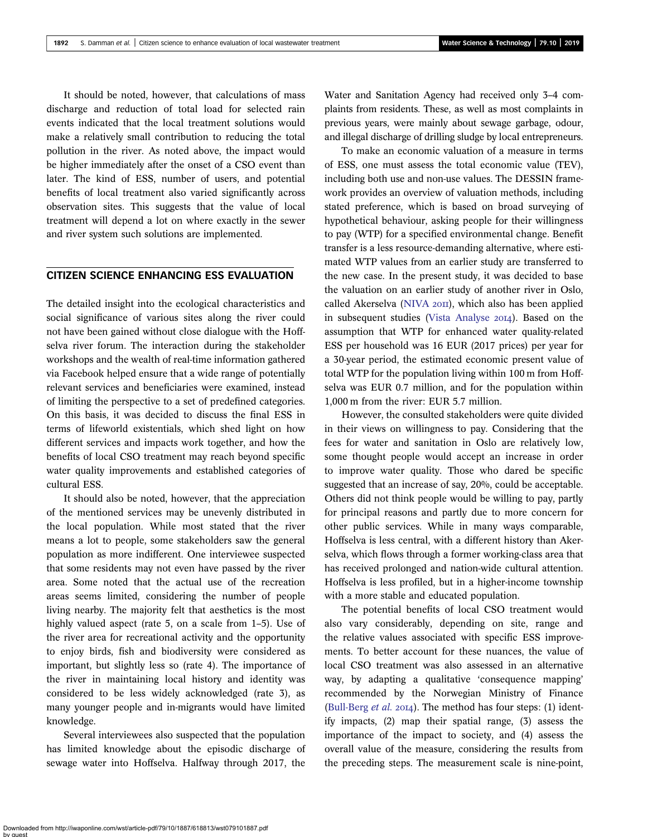It should be noted, however, that calculations of mass discharge and reduction of total load for selected rain events indicated that the local treatment solutions would make a relatively small contribution to reducing the total pollution in the river. As noted above, the impact would be higher immediately after the onset of a CSO event than later. The kind of ESS, number of users, and potential benefits of local treatment also varied significantly across observation sites. This suggests that the value of local treatment will depend a lot on where exactly in the sewer and river system such solutions are implemented.

### CITIZEN SCIENCE ENHANCING ESS EVALUATION

The detailed insight into the ecological characteristics and social significance of various sites along the river could not have been gained without close dialogue with the Hoffselva river forum. The interaction during the stakeholder workshops and the wealth of real-time information gathered via Facebook helped ensure that a wide range of potentially relevant services and beneficiaries were examined, instead of limiting the perspective to a set of predefined categories. On this basis, it was decided to discuss the final ESS in terms of lifeworld existentials, which shed light on how different services and impacts work together, and how the benefits of local CSO treatment may reach beyond specific water quality improvements and established categories of cultural ESS.

It should also be noted, however, that the appreciation of the mentioned services may be unevenly distributed in the local population. While most stated that the river means a lot to people, some stakeholders saw the general population as more indifferent. One interviewee suspected that some residents may not even have passed by the river area. Some noted that the actual use of the recreation areas seems limited, considering the number of people living nearby. The majority felt that aesthetics is the most highly valued aspect (rate 5, on a scale from 1–5). Use of the river area for recreational activity and the opportunity to enjoy birds, fish and biodiversity were considered as important, but slightly less so (rate 4). The importance of the river in maintaining local history and identity was considered to be less widely acknowledged (rate 3), as many younger people and in-migrants would have limited knowledge.

Several interviewees also suspected that the population has limited knowledge about the episodic discharge of sewage water into Hoffselva. Halfway through 2017, the Water and Sanitation Agency had received only 3–4 complaints from residents. These, as well as most complaints in previous years, were mainly about sewage garbage, odour, and illegal discharge of drilling sludge by local entrepreneurs.

To make an economic valuation of a measure in terms of ESS, one must assess the total economic value (TEV), including both use and non-use values. The DESSIN framework provides an overview of valuation methods, including stated preference, which is based on broad surveying of hypothetical behaviour, asking people for their willingness to pay (WTP) for a specified environmental change. Benefit transfer is a less resource-demanding alternative, where estimated WTP values from an earlier study are transferred to the new case. In the present study, it was decided to base the valuation on an earlier study of another river in Oslo, called Akerselva [\(NIVA](#page-9-0) 2011), which also has been applied in subsequent studies ([Vista Analyse](#page-9-0) 2014). Based on the assumption that WTP for enhanced water quality-related ESS per household was 16 EUR (2017 prices) per year for a 30-year period, the estimated economic present value of total WTP for the population living within 100 m from Hoffselva was EUR 0.7 million, and for the population within 1,000 m from the river: EUR 5.7 million.

However, the consulted stakeholders were quite divided in their views on willingness to pay. Considering that the fees for water and sanitation in Oslo are relatively low, some thought people would accept an increase in order to improve water quality. Those who dared be specific suggested that an increase of say, 20%, could be acceptable. Others did not think people would be willing to pay, partly for principal reasons and partly due to more concern for other public services. While in many ways comparable, Hoffselva is less central, with a different history than Akerselva, which flows through a former working-class area that has received prolonged and nation-wide cultural attention. Hoffselva is less profiled, but in a higher-income township with a more stable and educated population.

The potential benefits of local CSO treatment would also vary considerably, depending on site, range and the relative values associated with specific ESS improvements. To better account for these nuances, the value of local CSO treatment was also assessed in an alternative way, by adapting a qualitative 'consequence mapping' recommended by the Norwegian Ministry of Finance ([Bull-Berg](#page-8-0) et al. 2014). The method has four steps:  $(1)$  identify impacts, (2) map their spatial range, (3) assess the importance of the impact to society, and (4) assess the overall value of the measure, considering the results from the preceding steps. The measurement scale is nine-point,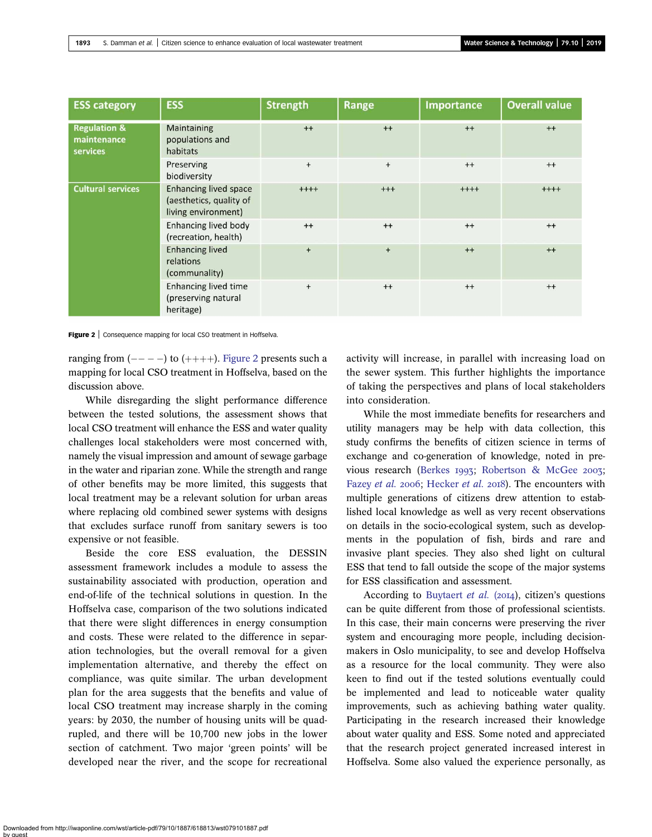| <b>ESS category</b>                                | <b>ESS</b>                                                                     | <b>Strength</b> | Range    | Importance | <b>Overall value</b> |
|----------------------------------------------------|--------------------------------------------------------------------------------|-----------------|----------|------------|----------------------|
| <b>Regulation &amp;</b><br>maintenance<br>services | Maintaining<br>populations and<br>habitats                                     | $++$            | $++$     | $++$       | $++$                 |
|                                                    | Preserving<br>biodiversity                                                     | $+$             | $+$      | $++$       | $^{++}$              |
| <b>Cultural services</b>                           | <b>Enhancing lived space</b><br>(aesthetics, quality of<br>living environment) | $++++$          | $^{+++}$ | $++++$     | $++++$               |
|                                                    | Enhancing lived body<br>(recreation, health)                                   | $^{++}$         | $^{++}$  | $^{++}$    | $^{++}$              |
|                                                    | <b>Enhancing lived</b><br>relations<br>(communality)                           | $+$             | $+$      | $++$       | $++$                 |
|                                                    | <b>Enhancing lived time</b><br>(preserving natural<br>heritage)                | $+$             | $^{++}$  | $^{++}$    | $^{+}$               |

Figure 2 | Consequence mapping for local CSO treatment in Hoffselva.

ranging from  $(---)$  to  $(++)$ . Figure 2 presents such a mapping for local CSO treatment in Hoffselva, based on the discussion above.

While disregarding the slight performance difference between the tested solutions, the assessment shows that local CSO treatment will enhance the ESS and water quality challenges local stakeholders were most concerned with, namely the visual impression and amount of sewage garbage in the water and riparian zone. While the strength and range of other benefits may be more limited, this suggests that local treatment may be a relevant solution for urban areas where replacing old combined sewer systems with designs that excludes surface runoff from sanitary sewers is too expensive or not feasible.

Beside the core ESS evaluation, the DESSIN assessment framework includes a module to assess the sustainability associated with production, operation and end-of-life of the technical solutions in question. In the Hoffselva case, comparison of the two solutions indicated that there were slight differences in energy consumption and costs. These were related to the difference in separation technologies, but the overall removal for a given implementation alternative, and thereby the effect on compliance, was quite similar. The urban development plan for the area suggests that the benefits and value of local CSO treatment may increase sharply in the coming years: by 2030, the number of housing units will be quadrupled, and there will be 10,700 new jobs in the lower section of catchment. Two major 'green points' will be developed near the river, and the scope for recreational

activity will increase, in parallel with increasing load on the sewer system. This further highlights the importance of taking the perspectives and plans of local stakeholders into consideration.

While the most immediate benefits for researchers and utility managers may be help with data collection, this study confirms the benefits of citizen science in terms of exchange and co-generation of knowledge, noted in pre-vious research ([Berkes](#page-8-0) 1993; [Robertson & McGee](#page-9-0) 2003; [Fazey](#page-8-0) et al. 2006; [Hecker](#page-9-0) et al. 2018). The encounters with multiple generations of citizens drew attention to established local knowledge as well as very recent observations on details in the socio-ecological system, such as developments in the population of fish, birds and rare and invasive plant species. They also shed light on cultural ESS that tend to fall outside the scope of the major systems for ESS classification and assessment.

According to [Buytaert](#page-8-0) et al. (2014), citizen's questions can be quite different from those of professional scientists. In this case, their main concerns were preserving the river system and encouraging more people, including decisionmakers in Oslo municipality, to see and develop Hoffselva as a resource for the local community. They were also keen to find out if the tested solutions eventually could be implemented and lead to noticeable water quality improvements, such as achieving bathing water quality. Participating in the research increased their knowledge about water quality and ESS. Some noted and appreciated that the research project generated increased interest in Hoffselva. Some also valued the experience personally, as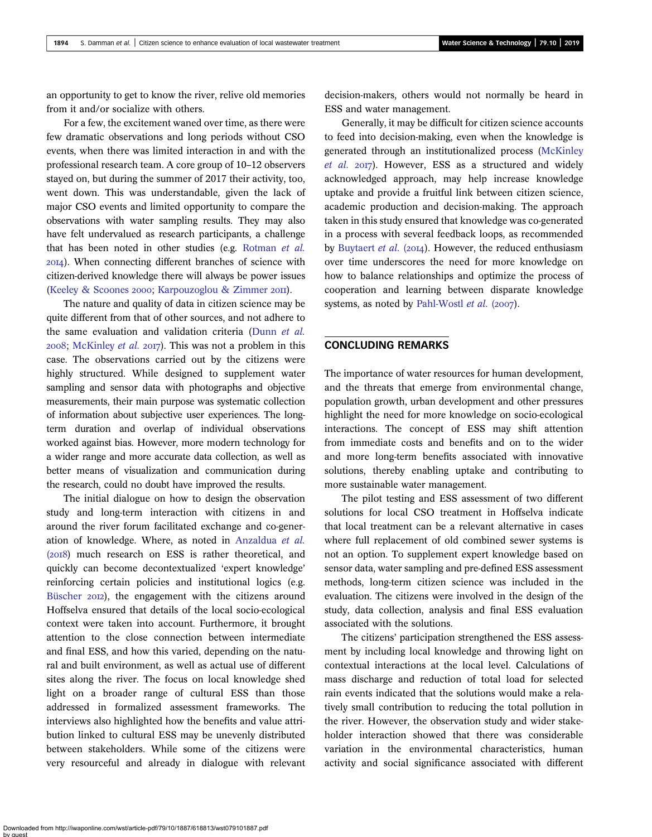an opportunity to get to know the river, relive old memories from it and/or socialize with others.

For a few, the excitement waned over time, as there were few dramatic observations and long periods without CSO events, when there was limited interaction in and with the professional research team. A core group of 10–12 observers stayed on, but during the summer of 2017 their activity, too, went down. This was understandable, given the lack of major CSO events and limited opportunity to compare the observations with water sampling results. They may also have felt undervalued as research participants, a challenge that has been noted in other studies (e.g. [Rotman](#page-9-0) et al. ). When connecting different branches of science with citizen-derived knowledge there will always be power issues [\(Keeley & Scoones](#page-9-0) 2000; [Karpouzoglou & Zimmer](#page-9-0) 2011).

The nature and quality of data in citizen science may be quite different from that of other sources, and not adhere to the same evaluation and validation criteria ([Dunn](#page-8-0) et al.  $2008$ ; [McKinley](#page-9-0) *et al.*  $2017$ ). This was not a problem in this case. The observations carried out by the citizens were highly structured. While designed to supplement water sampling and sensor data with photographs and objective measurements, their main purpose was systematic collection of information about subjective user experiences. The longterm duration and overlap of individual observations worked against bias. However, more modern technology for a wider range and more accurate data collection, as well as better means of visualization and communication during the research, could no doubt have improved the results.

The initial dialogue on how to design the observation study and long-term interaction with citizens in and around the river forum facilitated exchange and co-generation of knowledge. Where, as noted in [Anzaldua](#page-8-0) et al. (2018) much research on ESS is rather theoretical, and quickly can become decontextualized 'expert knowledge' reinforcing certain policies and institutional logics (e.g. [Büscher](#page-8-0) 2012), the engagement with the citizens around Hoffselva ensured that details of the local socio-ecological context were taken into account. Furthermore, it brought attention to the close connection between intermediate and final ESS, and how this varied, depending on the natural and built environment, as well as actual use of different sites along the river. The focus on local knowledge shed light on a broader range of cultural ESS than those addressed in formalized assessment frameworks. The interviews also highlighted how the benefits and value attribution linked to cultural ESS may be unevenly distributed between stakeholders. While some of the citizens were very resourceful and already in dialogue with relevant decision-makers, others would not normally be heard in ESS and water management.

Generally, it may be difficult for citizen science accounts to feed into decision-making, even when the knowledge is generated through an institutionalized process [\(McKinley](#page-9-0) [et al.](#page-9-0)  $2017$ ). However, ESS as a structured and widely acknowledged approach, may help increase knowledge uptake and provide a fruitful link between citizen science, academic production and decision-making. The approach taken in this study ensured that knowledge was co-generated in a process with several feedback loops, as recommended by [Buytaert](#page-8-0) et al.  $(2014)$ . However, the reduced enthusiasm over time underscores the need for more knowledge on how to balance relationships and optimize the process of cooperation and learning between disparate knowledge systems, as noted by [Pahl-Wostl](#page-9-0) et al.  $(2007)$ .

### CONCLUDING REMARKS

The importance of water resources for human development, and the threats that emerge from environmental change, population growth, urban development and other pressures highlight the need for more knowledge on socio-ecological interactions. The concept of ESS may shift attention from immediate costs and benefits and on to the wider and more long-term benefits associated with innovative solutions, thereby enabling uptake and contributing to more sustainable water management.

The pilot testing and ESS assessment of two different solutions for local CSO treatment in Hoffselva indicate that local treatment can be a relevant alternative in cases where full replacement of old combined sewer systems is not an option. To supplement expert knowledge based on sensor data, water sampling and pre-defined ESS assessment methods, long-term citizen science was included in the evaluation. The citizens were involved in the design of the study, data collection, analysis and final ESS evaluation associated with the solutions.

The citizens' participation strengthened the ESS assessment by including local knowledge and throwing light on contextual interactions at the local level. Calculations of mass discharge and reduction of total load for selected rain events indicated that the solutions would make a relatively small contribution to reducing the total pollution in the river. However, the observation study and wider stakeholder interaction showed that there was considerable variation in the environmental characteristics, human activity and social significance associated with different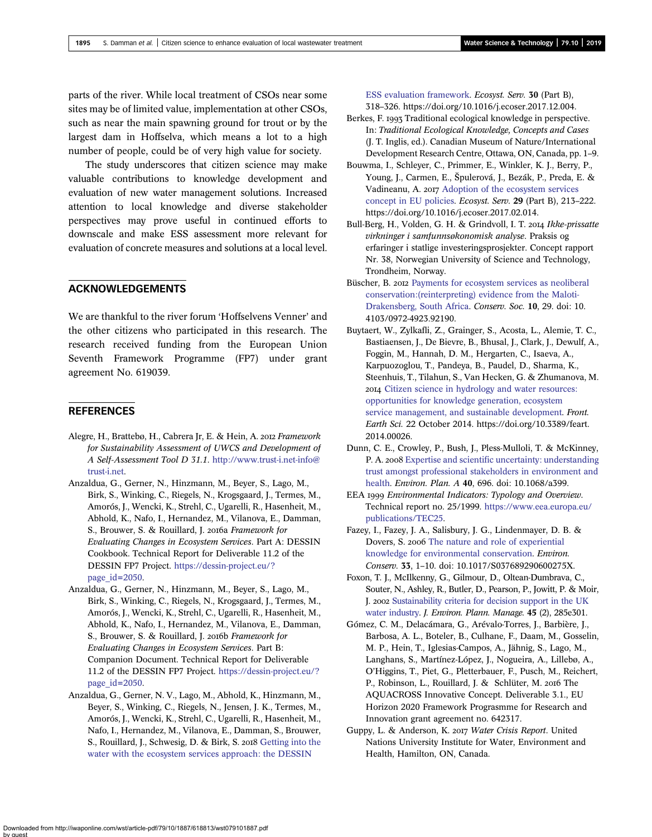<span id="page-8-0"></span>parts of the river. While local treatment of CSOs near some sites may be of limited value, implementation at other CSOs, such as near the main spawning ground for trout or by the largest dam in Hoffselva, which means a lot to a high number of people, could be of very high value for society.

The study underscores that citizen science may make valuable contributions to knowledge development and evaluation of new water management solutions. Increased attention to local knowledge and diverse stakeholder perspectives may prove useful in continued efforts to downscale and make ESS assessment more relevant for evaluation of concrete measures and solutions at a local level.

## ACKNOWLEDGEMENTS

We are thankful to the river forum 'Hoffselvens Venner' and the other citizens who participated in this research. The research received funding from the European Union Seventh Framework Programme (FP7) under grant agreement No. 619039.

### **REFERENCES**

- Alegre, H., Brattebø, H., Cabrera Jr, E. & Hein, A. 2012 Framework for Sustainability Assessment of UWCS and Development of A Self-Assessment Tool D 31.1. [http://www.trust-i.net-info@](http://www.trust-i.net-info@trust-i.net) [trust-i.net.](http://www.trust-i.net-info@trust-i.net)
- Anzaldua, G., Gerner, N., Hinzmann, M., Beyer, S., Lago, M., Birk, S., Winking, C., Riegels, N., Krogsgaard, J., Termes, M., Amorós, J., Wencki, K., Strehl, C., Ugarelli, R., Hasenheit, M., Abhold, K., Nafo, I., Hernandez, M., Vilanova, E., Damman, S., Brouwer, S. & Rouillard, J. 2016a Framework for Evaluating Changes in Ecosystem Services. Part A: DESSIN Cookbook. Technical Report for Deliverable 11.2 of the DESSIN FP7 Project. [https://dessin-project.eu/?](https://dessin-project.eu/?page_id=2050) [page\\_id=2050.](https://dessin-project.eu/?page_id=2050)
- Anzaldua, G., Gerner, N., Hinzmann, M., Beyer, S., Lago, M., Birk, S., Winking, C., Riegels, N., Krogsgaard, J., Termes, M., Amorós, J., Wencki, K., Strehl, C., Ugarelli, R., Hasenheit, M., Abhold, K., Nafo, I., Hernandez, M., Vilanova, E., Damman, S., Brouwer, S. & Rouillard, J. 2016b Framework for Evaluating Changes in Ecosystem Services. Part B: Companion Document. Technical Report for Deliverable 11.2 of the DESSIN FP7 Project. [https://dessin-project.eu/?](https://dessin-project.eu/?page_id=2050) [page\\_id=2050.](https://dessin-project.eu/?page_id=2050)
- Anzaldua, G., Gerner, N. V., Lago, M., Abhold, K., Hinzmann, M., Beyer, S., Winking, C., Riegels, N., Jensen, J. K., Termes, M., Amorós, J., Wencki, K., Strehl, C., Ugarelli, R., Hasenheit, M., Nafo, I., Hernandez, M., Vilanova, E., Damman, S., Brouwer, S., Rouillard, J., Schwesig, D. & Birk, S. 2018 [Getting into the](http://dx.doi.org/10.1016/j.ecoser.2017.12.004) [water with the ecosystem services approach: the DESSIN](http://dx.doi.org/10.1016/j.ecoser.2017.12.004)

[ESS evaluation framework.](http://dx.doi.org/10.1016/j.ecoser.2017.12.004) Ecosyst. Serv. 30 (Part B), 318–326. https://doi.org/10.1016/j.ecoser.2017.12.004.

- Berkes, F. 1993 Traditional ecological knowledge in perspective. In: Traditional Ecological Knowledge, Concepts and Cases (J. T. Inglis, ed.). Canadian Museum of Nature/International Development Research Centre, Ottawa, ON, Canada, pp. 1–9.
- Bouwma, I., Schleyer, C., Primmer, E., Winkler, K. J., Berry, P., Young, J., Carmen, E., Špulerová, J., Bezák, P., Preda, E. & Vadineanu, A. 2017 [Adoption of the ecosystem services](http://dx.doi.org/10.1016/j.ecoser.2017.02.014) [concept in EU policies.](http://dx.doi.org/10.1016/j.ecoser.2017.02.014) Ecosyst. Serv. 29 (Part B), 213–222. https://doi.org/10.1016/j.ecoser.2017.02.014.
- Bull-Berg, H., Volden, G. H. & Grindvoll, I. T. 2014 Ikke-prissatte virkninger i samfunnsøkonomisk analyse. Praksis og erfaringer i statlige investeringsprosjekter. Concept rapport Nr. 38, Norwegian University of Science and Technology, Trondheim, Norway.
- Büscher, B. 2012 [Payments for ecosystem services as neoliberal](http://dx.doi.org/10.4103/0972-4923.92190) [conservation:\(reinterpreting\) evidence from the Maloti-](http://dx.doi.org/10.4103/0972-4923.92190)[Drakensberg, South Africa](http://dx.doi.org/10.4103/0972-4923.92190). Conserv. Soc. 10, 29. doi: 10. 4103/0972-4923.92190.
- Buytaert, W., Zylkafli, Z., Grainger, S., Acosta, L., Alemie, T. C., Bastiaensen, J., De Bievre, B., Bhusal, J., Clark, J., Dewulf, A., Foggin, M., Hannah, D. M., Hergarten, C., Isaeva, A., Karpuozoglou, T., Pandeya, B., Paudel, D., Sharma, K., Steenhuis, T., Tilahun, S., Van Hecken, G. & Zhumanova, M. [Citizen science in hydrology and water resources:](http://dx.doi.org/10.3389/feart.2014.00026) [opportunities for knowledge generation, ecosystem](http://dx.doi.org/10.3389/feart.2014.00026) [service management, and sustainable development](http://dx.doi.org/10.3389/feart.2014.00026). Front. Earth Sci. 22 October 2014. https://doi.org/10.3389/feart. 2014.00026.
- Dunn, C. E., Crowley, P., Bush, J., Pless-Mulloli, T. & McKinney, P. A. 2008 [Expertise and scientific uncertainty: understanding](http://dx.doi.org/10.1068/a3993) [trust amongst professional stakeholders in environment and](http://dx.doi.org/10.1068/a3993) [health.](http://dx.doi.org/10.1068/a3993) Environ. Plan. A 40, 696. doi: 10.1068/a399.
- EEA 1999 Environmental Indicators: Typology and Overview. Technical report no. 25/1999. [https://www.eea.europa.eu/](https://www.eea.europa.eu/publications/TEC25) [publications/TEC25](https://www.eea.europa.eu/publications/TEC25).
- Fazey, I., Fazey, J. A., Salisbury, J. G., Lindenmayer, D. B. & Dovers, S. 2006 [The nature and role of experiential](http://dx.doi.org/10.1017/S037689290600275X) [knowledge for environmental conservation.](http://dx.doi.org/10.1017/S037689290600275X) Environ. Conserv. 33, 1–10. doi: 10.1017/S037689290600275X.
- Foxon, T. J., McIlkenny, G., Gilmour, D., Oltean-Dumbrava, C., Souter, N., Ashley, R., Butler, D., Pearson, P., Jowitt, P. & Moir, J. 2002 [Sustainability criteria for decision support in the UK](http://dx.doi.org/10.1080/09640560220116341) [water industry.](http://dx.doi.org/10.1080/09640560220116341) J. Environ. Plann. Manage. 45 (2), 285e301.
- Gómez, C. M., Delacámara, G., Arévalo-Torres, J., Barbière, J., Barbosa, A. L., Boteler, B., Culhane, F., Daam, M., Gosselin, M. P., Hein, T., Iglesias-Campos, A., Jähnig, S., Lago, M., Langhans, S., Martínez-López, J., Nogueira, A., Lillebø, A., O'Higgins, T., Piet, G., Pletterbauer, F., Pusch, M., Reichert, P., Robinson, L., Rouillard, J. & Schlüter, M. 2016 The AQUACROSS Innovative Concept. Deliverable 3.1., EU Horizon 2020 Framework Prograsmme for Research and Innovation grant agreement no. 642317.
- Guppy, L. & Anderson, K. 2017 Water Crisis Report. United Nations University Institute for Water, Environment and Health, Hamilton, ON, Canada.